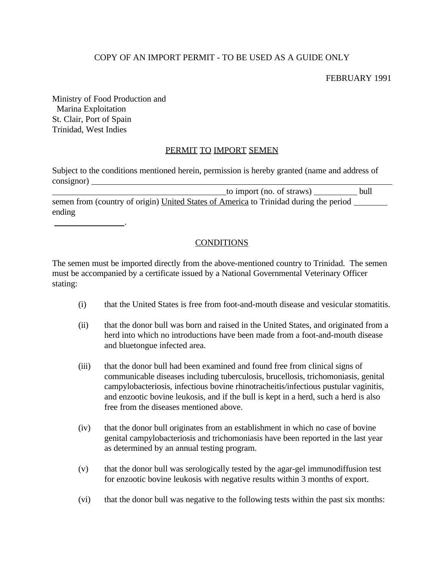## COPY OF AN IMPORT PERMIT - TO BE USED AS A GUIDE ONLY

FEBRUARY 1991

Ministry of Food Production and Marina Exploitation St. Clair, Port of Spain Trinidad, West Indies

.

## PERMIT TO IMPORT SEMEN

Subject to the conditions mentioned herein, permission is hereby granted (name and address of consignor)

 to import (no. of straws) bull semen from (country of origin) United States of America to Trinidad during the period ending

## **CONDITIONS**

The semen must be imported directly from the above-mentioned country to Trinidad. The semen must be accompanied by a certificate issued by a National Governmental Veterinary Officer stating:

- (i) that the United States is free from foot-and-mouth disease and vesicular stomatitis.
- (ii) that the donor bull was born and raised in the United States, and originated from a herd into which no introductions have been made from a foot-and-mouth disease and bluetongue infected area.
- (iii) that the donor bull had been examined and found free from clinical signs of communicable diseases including tuberculosis, brucellosis, trichomoniasis, genital campylobacteriosis, infectious bovine rhinotracheitis/infectious pustular vaginitis, and enzootic bovine leukosis, and if the bull is kept in a herd, such a herd is also free from the diseases mentioned above.
- (iv) that the donor bull originates from an establishment in which no case of bovine genital campylobacteriosis and trichomoniasis have been reported in the last year as determined by an annual testing program.
- (v) that the donor bull was serologically tested by the agar-gel immunodiffusion test for enzootic bovine leukosis with negative results within 3 months of export.
- (vi) that the donor bull was negative to the following tests within the past six months: